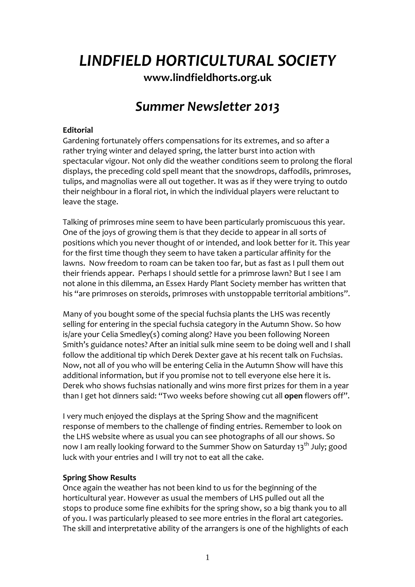# *LINDFIELD HORTICULTURAL SOCIETY*

**[www.lindfieldhorts.org.uk](http://www.lindfieldhorts.org.uk/)**

# *Summer Newsletter 2013*

# **Editorial**

Gardening fortunately offers compensations for its extremes, and so after a rather trying winter and delayed spring, the latter burst into action with spectacular vigour. Not only did the weather conditions seem to prolong the floral displays, the preceding cold spell meant that the snowdrops, daffodils, primroses, tulips, and magnolias were all out together. It was as if they were trying to outdo their neighbour in a floral riot, in which the individual players were reluctant to leave the stage.

Talking of primroses mine seem to have been particularly promiscuous this year. One of the joys of growing them is that they decide to appear in all sorts of positions which you never thought of or intended, and look better for it. This year for the first time though they seem to have taken a particular affinity for the lawns. Now freedom to roam can be taken too far, but as fast as I pull them out their friends appear. Perhaps I should settle for a primrose lawn? But I see I am not alone in this dilemma, an Essex Hardy Plant Society member has written that his "are primroses on steroids, primroses with unstoppable territorial ambitions".

Many of you bought some of the special fuchsia plants the LHS was recently selling for entering in the special fuchsia category in the Autumn Show. So how is/are your Celia Smedley(s) coming along? Have you been following Noreen Smith's guidance notes? After an initial sulk mine seem to be doing well and I shall follow the additional tip which Derek Dexter gave at his recent talk on Fuchsias. Now, not all of you who will be entering Celia in the Autumn Show will have this additional information, but if you promise not to tell everyone else here it is. Derek who shows fuchsias nationally and wins more first prizes for them in a year than I get hot dinners said: "Two weeks before showing cut all **open** flowers off".

I very much enjoyed the displays at the Spring Show and the magnificent response of members to the challenge of finding entries. Remember to look on the LHS website where as usual you can see photographs of all our shows. So now I am really looking forward to the Summer Show on Saturday 13<sup>th</sup> July; good luck with your entries and I will try not to eat all the cake.

# **Spring Show Results**

Once again the weather has not been kind to us for the beginning of the horticultural year. However as usual the members of LHS pulled out all the stops to produce some fine exhibits for the spring show, so a big thank you to all of you. I was particularly pleased to see more entries in the floral art categories. The skill and interpretative ability of the arrangers is one of the highlights of each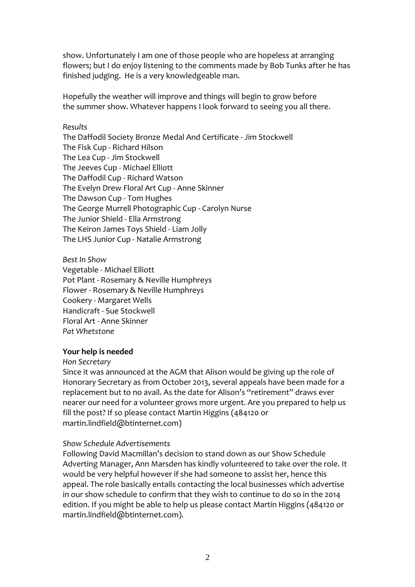show. Unfortunately I am one of those people who are hopeless at arranging flowers; but I do enjoy listening to the comments made by Bob Tunks after he has finished judging. He is a very knowledgeable man.

Hopefully the weather will improve and things will begin to grow before the summer show. Whatever happens I look forward to seeing you all there.

#### *Results*

The Daffodil Society Bronze Medal And Certificate ‐ Jim Stockwell The Fisk Cup ‐ Richard Hilson The Lea Cup ‐ Jim Stockwell The Jeeves Cup ‐ Michael Elliott The Daffodil Cup ‐ Richard Watson The Evelyn Drew Floral Art Cup ‐ Anne Skinner The Dawson Cup ‐ Tom Hughes The George Murrell Photographic Cup ‐ Carolyn Nurse The Junior Shield ‐ Ella Armstrong The Keiron James Toys Shield ‐ Liam Jolly The LHS Junior Cup ‐ Natalie Armstrong

*Best In Show* [Vegetable](http://www.lindfieldhorts.org.uk/2013/Spring Show/Selected/Best-Veg.jpg) ‐ Michael Elliott Pot Plant ‐ Rosemary & Neville [Humphreys](http://www.lindfieldhorts.org.uk/2013/Spring Show/Selected/BestPotPlant.jpg) Flower ‐ Rosemary & Neville [Humphreys](http://www.lindfieldhorts.org.uk/2013/Spring Show/Selected/BestFlower.jpg) Cookery ‐ [Margaret](http://www.lindfieldhorts.org.uk/2013/Spring Show/Selected/BestCatering.jpg) Wells [Handicraft](http://www.lindfieldhorts.org.uk/2013/Spring Show/Selected/BestHandicraft.jpg) ‐ Sue Stockwell Floral Art ‐ Anne [Skinner](http://www.lindfieldhorts.org.uk/2013/Spring Show/Selected/BestFloralArt.jpg) *Pat Whetstone*

#### **Your help is needed**

*Hon Secretary*

Since it was announced at the AGM that Alison would be giving up the role of Honorary Secretary as from October 2013, several appeals have been made for a replacement but to no avail. As the date for Alison's "retirement" draws ever nearer our need for a volunteer grows more urgent. Are you prepared to help us fill the post? If so please contact Martin Higgins (484120 or martin.lindfield@btinternet.com)

#### *Show Schedule Advertisements*

Following David Macmillan's decision to stand down as our Show Schedule Adverting Manager, Ann Marsden has kindly volunteered to take over the role. It would be very helpful however if she had someone to assist her, hence this appeal. The role basically entails contacting the local businesses which advertise in our show schedule to confirm that they wish to continue to do so in the 2014 edition. If you might be able to help us please contact Martin Higgins (484120 or martin.lindfield@btinternet.com).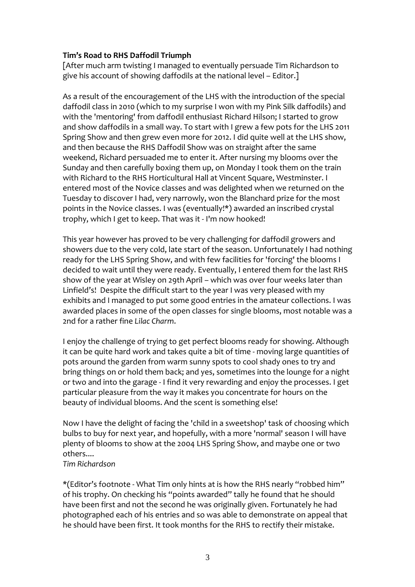# **Tim's Road to RHS Daffodil Triumph**

[After much arm twisting I managed to eventually persuade Tim Richardson to give his account of showing daffodils at the national level – Editor.]

As a result of the encouragement of the LHS with the introduction of the special daffodil class in 2010 (which to my surprise I won with my Pink Silk daffodils) and with the 'mentoring' from daffodil enthusiast Richard Hilson; I started to grow and show daffodils in a small way. To start with I grew a few pots for the LHS 2011 Spring Show and then grew even more for 2012. I did quite well at the LHS show, and then because the RHS Daffodil Show was on straight after the same weekend, Richard persuaded me to enter it. After nursing my blooms over the Sunday and then carefully boxing them up, on Monday I took them on the train with Richard to the RHS Horticultural Hall at Vincent Square, Westminster. I entered most of the Novice classes and was delighted when we returned on the Tuesday to discover I had, very narrowly, won the Blanchard prize for the most points in the Novice classes. I was (eventually!\*) awarded an inscribed crystal trophy, which I get to keep. That was it ‐ I'm now hooked!

This year however has proved to be very challenging for daffodil growers and showers due to the very cold, late start of the season. Unfortunately I had nothing ready for the LHS Spring Show, and with few facilities for 'forcing' the blooms I decided to wait until they were ready. Eventually, I entered them for the last RHS show of the year at Wisley on 29th April – which was over four weeks later than Linfield's! Despite the difficult start to the year I was very pleased with my exhibits and I managed to put some good entries in the amateur collections. I was awarded places in some of the open classes for single blooms, most notable was a 2nd for a rather fine *Lilac Charm*.

I enjoy the challenge of trying to get perfect blooms ready for showing. Although it can be quite hard work and takes quite a bit of time ‐ moving large quantities of pots around the garden from warm sunny spots to cool shady ones to try and bring things on or hold them back; and yes, sometimes into the lounge for a night or two and into the garage ‐ I find it very rewarding and enjoy the processes. I get particular pleasure from the way it makes you concentrate for hours on the beauty of individual blooms. And the scent is something else!

Now I have the delight of facing the 'child in a sweetshop' task of choosing which bulbs to buy for next year, and hopefully, with a more 'normal' season I will have plenty of blooms to show at the 2004 LHS Spring Show, and maybe one or two others....

# *Tim Richardson*

\*(Editor's footnote ‐ What Tim only hints at is how the RHS nearly "robbed him" of his trophy. On checking his "points awarded" tally he found that he should have been first and not the second he was originally given. Fortunately he had photographed each of his entries and so was able to demonstrate on appeal that he should have been first. It took months for the RHS to rectify their mistake.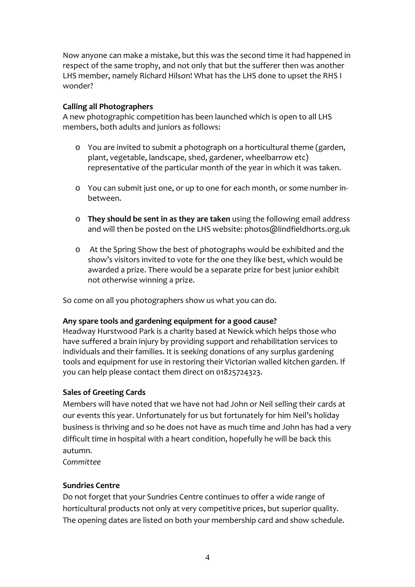Now anyone can make a mistake, but this was the second time it had happened in respect of the same trophy, and not only that but the sufferer then was another LHS member, namely Richard Hilson! What has the LHS done to upset the RHS I wonder?

# **Calling all Photographers**

A new photographic competition has been launched which is open to all LHS members, both adults and juniors as follows:

- o You are invited to submit a photograph on a horticultural theme (garden, plant, vegetable, landscape, shed, gardener, wheelbarrow etc) representative of the particular month of the year in which it was taken.
- o You can submit just one, or up to one for each month, or some number in‐ between.
- o **They should be sent in as they are taken** using the following email address and will then be posted on the LHS website: [photos@lindfieldhorts.org.uk](mailto:photos@lindfieldhorts.org.uk)
- o At the Spring Show the best of photographs would be exhibited and the show's visitors invited to vote for the one they like best, which would be awarded a prize. There would be a separate prize for best junior exhibit not otherwise winning a prize.

So come on all you photographers show us what you can do.

# **Any spare tools and gardening equipment for a good cause?**

Headway Hurstwood Park is a charity based at Newick which helps those who have suffered a brain injury by providing support and rehabilitation services to individuals and their families. It is seeking donations of any surplus gardening tools and equipment for use in restoring their Victorian walled kitchen garden. If you can help please contact them direct on 01825724323.

# **Sales of Greeting Cards**

Members will have noted that we have not had John or Neil selling their cards at our events this year. Unfortunately for us but fortunately for him Neil's holiday business is thriving and so he does not have as much time and John has had a very difficult time in hospital with a heart condition, hopefully he will be back this autumn.

*Committee*

# **Sundries Centre**

Do not forget that your Sundries Centre continues to offer a wide range of horticultural products not only at very competitive prices, but superior quality. The opening dates are listed on both your membership card and show schedule.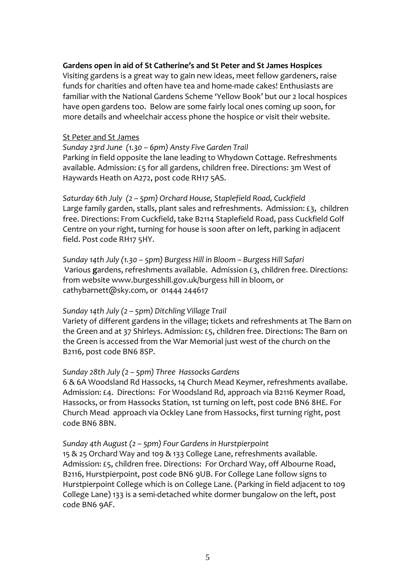#### **Gardens open in aid of St Catherine's and St Peter and St James Hospices**

Visiting gardens is a great way to gain new ideas, meet fellow gardeners, raise funds for charities and often have tea and home‐made cakes! Enthusiasts are familiar with the National Gardens Scheme 'Yellow Book' but our 2 local hospices have open gardens too. Below are some fairly local ones coming up soon, for more details and wheelchair access phone the hospice or visit their website.

#### St Peter and St James

*Sunday 23rd June (1.30 – 6pm) Ansty Five Garden Trail* Parking in field opposite the lane leading to Whydown Cottage. Refreshments available. Admission: £5 for all gardens, children free. Directions: 3m West of Haywards Heath on A272, post code RH17 5AS.

*Saturday 6th July (2 – 5pm) Orchard House, Staplefield Road, Cuckfield* Large family garden, stalls, plant sales and refreshments. Admission: £3, children free. Directions: From Cuckfield, take B2114 Staplefield Road, pass Cuckfield Golf Centre on your right, turning for house is soon after on left, parking in adjacent field. Post code RH17 5HY.

*Sunday 14th July (1.30 – 5pm) Burgess Hill in Bloom – Burgess Hill Safari* Various **g**ardens, refreshments available. Admission £3, children free. Directions: from website [www.burgesshill.gov.uk/burgess](http://www.burgesshill.gov.uk/burgess) hill in bloom, or [cathybarnett@sky.com](mailto:cathybarnett@sky.com), or 01444 244617

#### *Sunday 14th July (2 – 5pm) Ditchling Village Trail*

Variety of different gardens in the village; tickets and refreshments at The Barn on the Green and at 37 Shirleys. Admission: £5, children free. Directions: The Barn on the Green is accessed from the War Memorial just west of the church on the B2116, post code BN6 8SP.

#### *Sunday 28th July (2 – 5pm) Three Hassocks Gardens*

6 & 6A Woodsland Rd Hassocks, 14 Church Mead Keymer, refreshments availabe. Admission: £4. Directions: For Woodsland Rd, approach via B2116 Keymer Road, Hassocks, or from Hassocks Station, 1st turning on left, post code BN6 8HE. For Church Mead approach via Ockley Lane from Hassocks, first turning right, post code BN6 8BN.

#### *Sunday 4th August (2 – 5pm) Four Gardens in Hurstpierpoint*

15 & 25 Orchard Way and 109 & 133 College Lane, refreshments available. Admission: £5, children free. Directions: For Orchard Way, off Albourne Road, B2116, Hurstpierpoint, post code BN6 9UB. For College Lane follow signs to Hurstpierpoint College which is on College Lane. (Parking in field adjacent to 109 College Lane) 133 is a semi‐detached white dormer bungalow on the left, post code BN6 9AF.